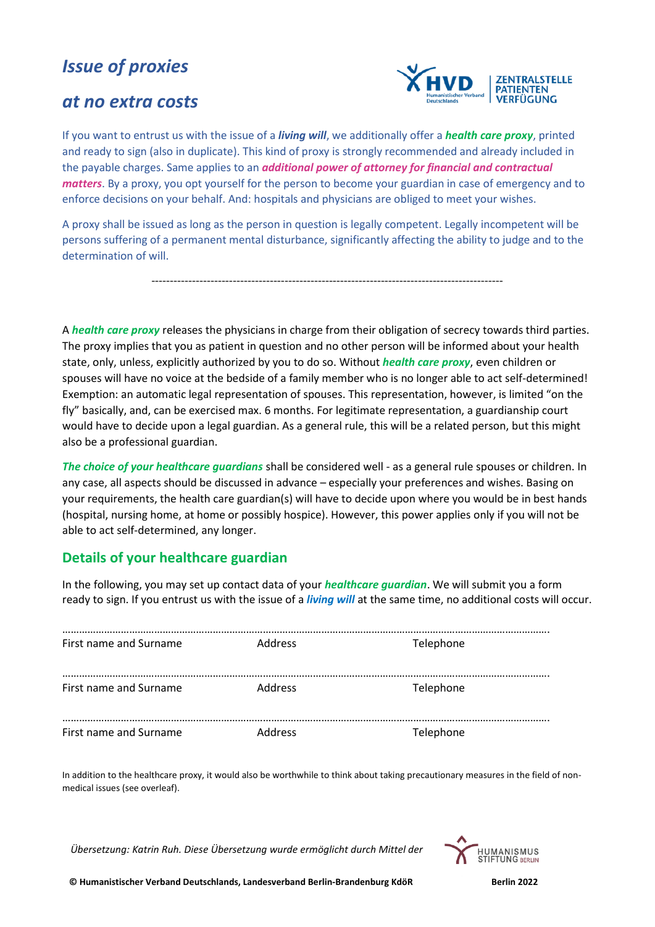# *Issue of proxies*

## *at no extra costs*



If you want to entrust us with the issue of a *living will*, we additionally offer a *health care proxy*, printed and ready to sign (also in duplicate). This kind of proxy is strongly recommended and already included in the payable charges. Same applies to an *additional power of attorney for financial and contractual matters*. By a proxy, you opt yourself for the person to become your guardian in case of emergency and to enforce decisions on your behalf. And: hospitals and physicians are obliged to meet your wishes.

A proxy shall be issued as long as the person in question is legally competent. Legally incompetent will be persons suffering of a permanent mental disturbance, significantly affecting the ability to judge and to the determination of will.

-----------------------------------------------------------------------------------------------

A *health care proxy* releases the physicians in charge from their obligation of secrecy towards third parties. The proxy implies that you as patient in question and no other person will be informed about your health state, only, unless, explicitly authorized by you to do so. Without *health care proxy*, even children or spouses will have no voice at the bedside of a family member who is no longer able to act self-determined! Exemption: an automatic legal representation of spouses. This representation, however, is limited "on the fly" basically, and, can be exercised max. 6 months. For legitimate representation, a guardianship court would have to decide upon a legal guardian. As a general rule, this will be a related person, but this might also be a professional guardian.

*The choice of your healthcare guardians* shall be considered well - as a general rule spouses or children. In any case, all aspects should be discussed in advance – especially your preferences and wishes. Basing on your requirements, the health care guardian(s) will have to decide upon where you would be in best hands (hospital, nursing home, at home or possibly hospice). However, this power applies only if you will not be able to act self-determined, any longer.

### **Details of your healthcare guardian**

In the following, you may set up contact data of your *healthcare guardian*. We will submit you a form ready to sign. If you entrust us with the issue of a *living will* at the same time, no additional costs will occur.

| First name and Surname | Address        | Telephone |
|------------------------|----------------|-----------|
| First name and Surname | <b>Address</b> | Telephone |
| First name and Surname | Address        | Telephone |

In addition to the healthcare proxy, it would also be worthwhile to think about taking precautionary measures in the field of nonmedical issues (see overleaf).

*Übersetzung: Katrin Ruh. Diese Übersetzung wurde ermöglicht durch Mittel der*